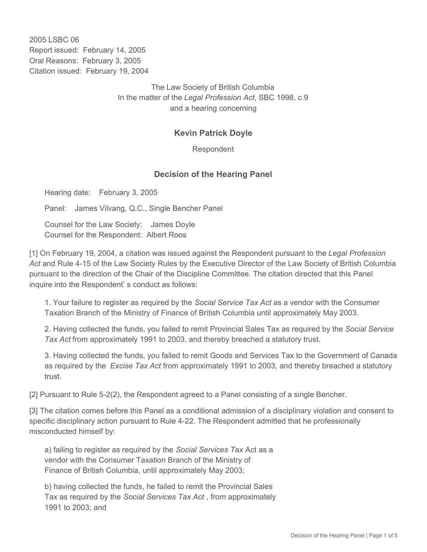2005 LSBC 06 Report issued: February 14, 2005 Oral Reasons: February 3, 2005 Citation issued: February 19, 2004

> The Law Society of British Columbia In the matter of the *Legal Profession Act*, SBC 1998, c.9 and a hearing concerning

## **Kevin Patrick Doyle**

Respondent

## **Decision of the Hearing Panel**

Hearing date: February 3, 2005

Panel: James Vilvang, Q.C., Single Bencher Panel

Counsel for the Law Society: James Doyle Counsel for the Respondent: Albert Roos

[1] On February 19, 2004, a citation was issued against the Respondent pursuant to the *Legal Profession Act* and Rule 4-15 of the Law Society Rules by the Executive Director of the Law Society of British Columbia pursuant to the direction of the Chair of the Discipline Committee. The citation directed that this Panel inquire into the Respondent' s conduct as follows:

1. Your failure to register as required by the *Social Service Tax Act* as a vendor with the Consumer Taxation Branch of the Ministry of Finance of British Columbia until approximately May 2003.

2. Having collected the funds, you failed to remit Provincial Sales Tax as required by the *Social Service Tax Act* from approximately 1991 to 2003, and thereby breached a statutory trust.

3. Having collected the funds, you failed to remit Goods and Services Tax to the Government of Canada as required by the *Excise Tax Act* from approximately 1991 to 2003, and thereby breached a statutory trust.

[2] Pursuant to Rule 5-2(2), the Respondent agreed to a Panel consisting of a single Bencher.

[3] The citation comes before this Panel as a conditional admission of a disciplinary violation and consent to specific disciplinary action pursuant to Rule 4-22. The Respondent admitted that he professionally misconducted himself by:

a) failing to register as required by the *Social Services Tax* Act as a vendor with the Consumer Taxation Branch of the Ministry of Finance of British Columbia, until approximately May 2003;

b) having collected the funds, he failed to remit the Provincial Sales Tax as required by the *Social Services Tax Act* , from approximately 1991 to 2003; and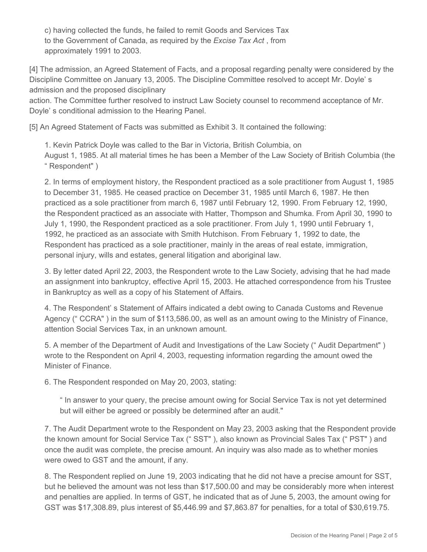c) having collected the funds, he failed to remit Goods and Services Tax to the Government of Canada, as required by the *Excise Tax Act* , from approximately 1991 to 2003.

[4] The admission, an Agreed Statement of Facts, and a proposal regarding penalty were considered by the Discipline Committee on January 13, 2005. The Discipline Committee resolved to accept Mr. Doyle' s admission and the proposed disciplinary

action. The Committee further resolved to instruct Law Society counsel to recommend acceptance of Mr. Doyle' s conditional admission to the Hearing Panel.

[5] An Agreed Statement of Facts was submitted as Exhibit 3. It contained the following:

1. Kevin Patrick Doyle was called to the Bar in Victoria, British Columbia, on August 1, 1985. At all material times he has been a Member of the Law Society of British Columbia (the " Respondent" )

2. In terms of employment history, the Respondent practiced as a sole practitioner from August 1, 1985 to December 31, 1985. He ceased practice on December 31, 1985 until March 6, 1987. He then practiced as a sole practitioner from march 6, 1987 until February 12, 1990. From February 12, 1990, the Respondent practiced as an associate with Hatter, Thompson and Shumka. From April 30, 1990 to July 1, 1990, the Respondent practiced as a sole practitioner. From July 1, 1990 until February 1, 1992, he practiced as an associate with Smith Hutchison. From February 1, 1992 to date, the Respondent has practiced as a sole practitioner, mainly in the areas of real estate, immigration, personal injury, wills and estates, general litigation and aboriginal law.

3. By letter dated April 22, 2003, the Respondent wrote to the Law Society, advising that he had made an assignment into bankruptcy, effective April 15, 2003. He attached correspondence from his Trustee in Bankruptcy as well as a copy of his Statement of Affairs.

4. The Respondent' s Statement of Affairs indicated a debt owing to Canada Customs and Revenue Agency (" CCRA" ) in the sum of \$113,586.00, as well as an amount owing to the Ministry of Finance, attention Social Services Tax, in an unknown amount.

5. A member of the Department of Audit and Investigations of the Law Society (" Audit Department" ) wrote to the Respondent on April 4, 2003, requesting information regarding the amount owed the Minister of Finance.

6. The Respondent responded on May 20, 2003, stating:

" In answer to your query, the precise amount owing for Social Service Tax is not yet determined but will either be agreed or possibly be determined after an audit."

7. The Audit Department wrote to the Respondent on May 23, 2003 asking that the Respondent provide the known amount for Social Service Tax (" SST" ), also known as Provincial Sales Tax (" PST" ) and once the audit was complete, the precise amount. An inquiry was also made as to whether monies were owed to GST and the amount, if any.

8. The Respondent replied on June 19, 2003 indicating that he did not have a precise amount for SST, but he believed the amount was not less than \$17,500.00 and may be considerably more when interest and penalties are applied. In terms of GST, he indicated that as of June 5, 2003, the amount owing for GST was \$17,308.89, plus interest of \$5,446.99 and \$7,863.87 for penalties, for a total of \$30,619.75.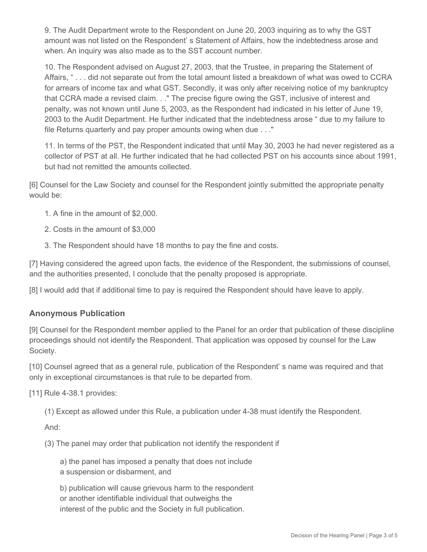9. The Audit Department wrote to the Respondent on June 20, 2003 inquiring as to why the GST amount was not listed on the Respondent' s Statement of Affairs, how the indebtedness arose and when. An inquiry was also made as to the SST account number.

10. The Respondent advised on August 27, 2003, that the Trustee, in preparing the Statement of Affairs, " . . . did not separate out from the total amount listed a breakdown of what was owed to CCRA for arrears of income tax and what GST. Secondly, it was only after receiving notice of my bankruptcy that CCRA made a revised claim. . ." The precise figure owing the GST, inclusive of interest and penalty, was not known until June 5, 2003, as the Respondent had indicated in his letter of June 19, 2003 to the Audit Department. He further indicated that the indebtedness arose " due to my failure to file Returns quarterly and pay proper amounts owing when due . . ."

11. In terms of the PST, the Respondent indicated that until May 30, 2003 he had never registered as a collector of PST at all. He further indicated that he had collected PST on his accounts since about 1991, but had not remitted the amounts collected.

[6] Counsel for the Law Society and counsel for the Respondent jointly submitted the appropriate penalty would be:

- 1. A fine in the amount of \$2,000.
- 2. Costs in the amount of \$3,000
- 3. The Respondent should have 18 months to pay the fine and costs.

[7] Having considered the agreed upon facts, the evidence of the Respondent, the submissions of counsel, and the authorities presented, I conclude that the penalty proposed is appropriate.

[8] I would add that if additional time to pay is required the Respondent should have leave to apply.

## **Anonymous Publication**

[9] Counsel for the Respondent member applied to the Panel for an order that publication of these discipline proceedings should not identify the Respondent. That application was opposed by counsel for the Law Society.

[10] Counsel agreed that as a general rule, publication of the Respondent' s name was required and that only in exceptional circumstances is that rule to be departed from.

[11] Rule 4-38.1 provides:

(1) Except as allowed under this Rule, a publication under 4-38 must identify the Respondent.

And:

(3) The panel may order that publication not identify the respondent if

a) the panel has imposed a penalty that does not include a suspension or disbarment, and

b) publication will cause grievous harm to the respondent or another identifiable individual that outweighs the interest of the public and the Society in full publication.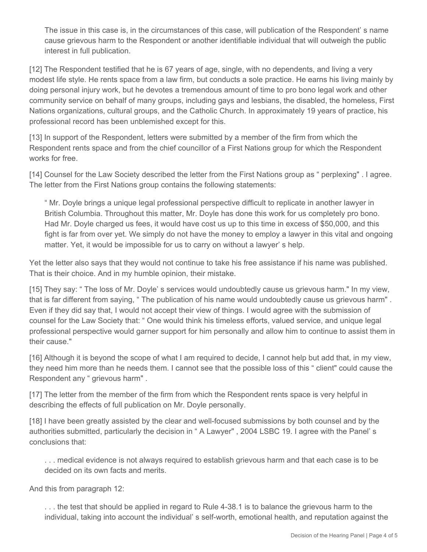The issue in this case is, in the circumstances of this case, will publication of the Respondent' s name cause grievous harm to the Respondent or another identifiable individual that will outweigh the public interest in full publication.

[12] The Respondent testified that he is 67 years of age, single, with no dependents, and living a very modest life style. He rents space from a law firm, but conducts a sole practice. He earns his living mainly by doing personal injury work, but he devotes a tremendous amount of time to pro bono legal work and other community service on behalf of many groups, including gays and lesbians, the disabled, the homeless, First Nations organizations, cultural groups, and the Catholic Church. In approximately 19 years of practice, his professional record has been unblemished except for this.

[13] In support of the Respondent, letters were submitted by a member of the firm from which the Respondent rents space and from the chief councillor of a First Nations group for which the Respondent works for free.

[14] Counsel for the Law Society described the letter from the First Nations group as " perplexing" . I agree. The letter from the First Nations group contains the following statements:

" Mr. Doyle brings a unique legal professional perspective difficult to replicate in another lawyer in British Columbia. Throughout this matter, Mr. Doyle has done this work for us completely pro bono. Had Mr. Doyle charged us fees, it would have cost us up to this time in excess of \$50,000, and this fight is far from over yet. We simply do not have the money to employ a lawyer in this vital and ongoing matter. Yet, it would be impossible for us to carry on without a lawyer' s help.

Yet the letter also says that they would not continue to take his free assistance if his name was published. That is their choice. And in my humble opinion, their mistake.

[15] They say: " The loss of Mr. Doyle' s services would undoubtedly cause us grievous harm." In my view, that is far different from saying, " The publication of his name would undoubtedly cause us grievous harm" . Even if they did say that, I would not accept their view of things. I would agree with the submission of counsel for the Law Society that: " One would think his timeless efforts, valued service, and unique legal professional perspective would garner support for him personally and allow him to continue to assist them in their cause."

[16] Although it is beyond the scope of what I am required to decide, I cannot help but add that, in my view, they need him more than he needs them. I cannot see that the possible loss of this " client" could cause the Respondent any " grievous harm".

[17] The letter from the member of the firm from which the Respondent rents space is very helpful in describing the effects of full publication on Mr. Doyle personally.

[18] I have been greatly assisted by the clear and well-focused submissions by both counsel and by the authorities submitted, particularly the decision in " A Lawyer" , 2004 LSBC 19. I agree with the Panel' s conclusions that:

. . . medical evidence is not always required to establish grievous harm and that each case is to be decided on its own facts and merits.

And this from paragraph 12:

. . . the test that should be applied in regard to Rule 4-38.1 is to balance the grievous harm to the individual, taking into account the individual' s self-worth, emotional health, and reputation against the